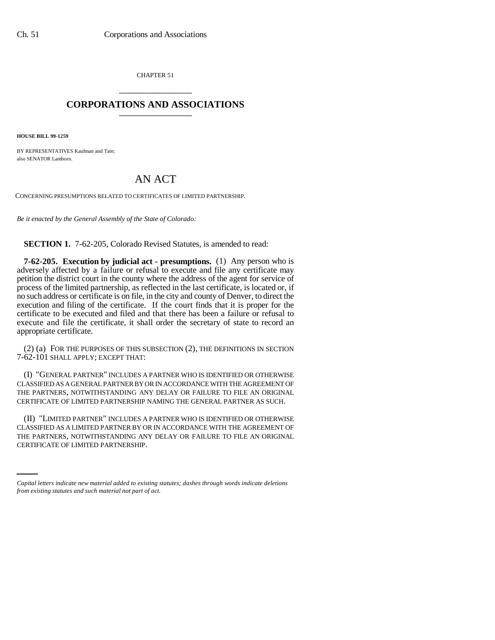CHAPTER 51 \_\_\_\_\_\_\_\_\_\_\_\_\_\_\_

## **CORPORATIONS AND ASSOCIATIONS** \_\_\_\_\_\_\_\_\_\_\_\_\_\_\_

**HOUSE BILL 99-1259** 

BY REPRESENTATIVES Kaufman and Tate; also SENATOR Lamborn.

## AN ACT

CONCERNING PRESUMPTIONS RELATED TO CERTIFICATES OF LIMITED PARTNERSHIP.

*Be it enacted by the General Assembly of the State of Colorado:*

**SECTION 1.** 7-62-205, Colorado Revised Statutes, is amended to read:

**7-62-205. Execution by judicial act - presumptions.** (1) Any person who is adversely affected by a failure or refusal to execute and file any certificate may petition the district court in the county where the address of the agent for service of process of the limited partnership, as reflected in the last certificate, is located or, if no such address or certificate is on file, in the city and county of Denver, to direct the execution and filing of the certificate. If the court finds that it is proper for the certificate to be executed and filed and that there has been a failure or refusal to execute and file the certificate, it shall order the secretary of state to record an appropriate certificate.

(2) (a) FOR THE PURPOSES OF THIS SUBSECTION (2), THE DEFINITIONS IN SECTION 7-62-101 SHALL APPLY; EXCEPT THAT:

(I) "GENERAL PARTNER" INCLUDES A PARTNER WHO IS IDENTIFIED OR OTHERWISE CLASSIFIED AS A GENERAL PARTNER BY OR IN ACCORDANCE WITH THE AGREEMENT OF THE PARTNERS, NOTWITHSTANDING ANY DELAY OR FAILURE TO FILE AN ORIGINAL CERTIFICATE OF LIMITED PARTNERSHIP NAMING THE GENERAL PARTNER AS SUCH.

THE PARTNERS, NOTWITHSTANDING ANY DELAY OR FAILURE TO FILE AN ORIGINAL (II) "LIMITED PARTNER" INCLUDES A PARTNER WHO IS IDENTIFIED OR OTHERWISE CLASSIFIED AS A LIMITED PARTNER BY OR IN ACCORDANCE WITH THE AGREEMENT OF CERTIFICATE OF LIMITED PARTNERSHIP.

*Capital letters indicate new material added to existing statutes; dashes through words indicate deletions from existing statutes and such material not part of act.*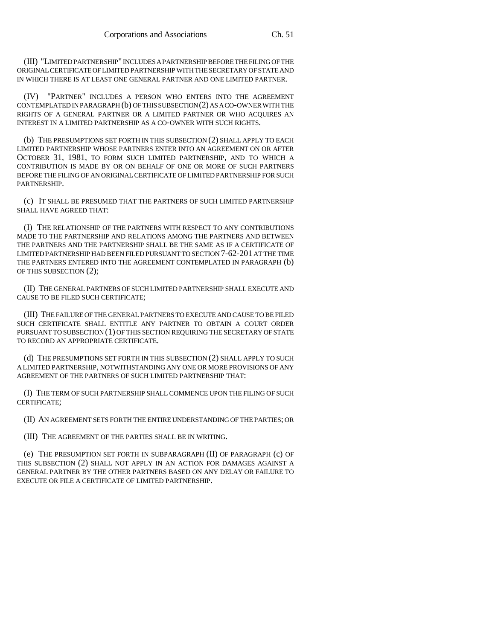(III) "LIMITED PARTNERSHIP" INCLUDES A PARTNERSHIP BEFORE THE FILING OF THE ORIGINAL CERTIFICATE OF LIMITED PARTNERSHIP WITH THE SECRETARY OF STATE AND IN WHICH THERE IS AT LEAST ONE GENERAL PARTNER AND ONE LIMITED PARTNER.

(IV) "PARTNER" INCLUDES A PERSON WHO ENTERS INTO THE AGREEMENT CONTEMPLATED IN PARAGRAPH (b) OF THIS SUBSECTION (2) AS A CO-OWNER WITH THE RIGHTS OF A GENERAL PARTNER OR A LIMITED PARTNER OR WHO ACQUIRES AN INTEREST IN A LIMITED PARTNERSHIP AS A CO-OWNER WITH SUCH RIGHTS.

(b) THE PRESUMPTIONS SET FORTH IN THIS SUBSECTION (2) SHALL APPLY TO EACH LIMITED PARTNERSHIP WHOSE PARTNERS ENTER INTO AN AGREEMENT ON OR AFTER OCTOBER 31, 1981, TO FORM SUCH LIMITED PARTNERSHIP, AND TO WHICH A CONTRIBUTION IS MADE BY OR ON BEHALF OF ONE OR MORE OF SUCH PARTNERS BEFORE THE FILING OF AN ORIGINAL CERTIFICATE OF LIMITED PARTNERSHIP FOR SUCH PARTNERSHIP.

(c) IT SHALL BE PRESUMED THAT THE PARTNERS OF SUCH LIMITED PARTNERSHIP SHALL HAVE AGREED THAT:

(I) THE RELATIONSHIP OF THE PARTNERS WITH RESPECT TO ANY CONTRIBUTIONS MADE TO THE PARTNERSHIP AND RELATIONS AMONG THE PARTNERS AND BETWEEN THE PARTNERS AND THE PARTNERSHIP SHALL BE THE SAME AS IF A CERTIFICATE OF LIMITED PARTNERSHIP HAD BEEN FILED PURSUANT TO SECTION 7-62-201 AT THE TIME THE PARTNERS ENTERED INTO THE AGREEMENT CONTEMPLATED IN PARAGRAPH (b) OF THIS SUBSECTION (2);

(II) THE GENERAL PARTNERS OF SUCH LIMITED PARTNERSHIP SHALL EXECUTE AND CAUSE TO BE FILED SUCH CERTIFICATE;

(III) THE FAILURE OF THE GENERAL PARTNERS TO EXECUTE AND CAUSE TO BE FILED SUCH CERTIFICATE SHALL ENTITLE ANY PARTNER TO OBTAIN A COURT ORDER PURSUANT TO SUBSECTION (1) OF THIS SECTION REQUIRING THE SECRETARY OF STATE TO RECORD AN APPROPRIATE CERTIFICATE.

(d) THE PRESUMPTIONS SET FORTH IN THIS SUBSECTION (2) SHALL APPLY TO SUCH A LIMITED PARTNERSHIP, NOTWITHSTANDING ANY ONE OR MORE PROVISIONS OF ANY AGREEMENT OF THE PARTNERS OF SUCH LIMITED PARTNERSHIP THAT:

(I) THE TERM OF SUCH PARTNERSHIP SHALL COMMENCE UPON THE FILING OF SUCH CERTIFICATE;

(II) AN AGREEMENT SETS FORTH THE ENTIRE UNDERSTANDING OF THE PARTIES; OR

(III) THE AGREEMENT OF THE PARTIES SHALL BE IN WRITING.

(e) THE PRESUMPTION SET FORTH IN SUBPARAGRAPH (II) OF PARAGRAPH (c) OF THIS SUBSECTION (2) SHALL NOT APPLY IN AN ACTION FOR DAMAGES AGAINST A GENERAL PARTNER BY THE OTHER PARTNERS BASED ON ANY DELAY OR FAILURE TO EXECUTE OR FILE A CERTIFICATE OF LIMITED PARTNERSHIP.